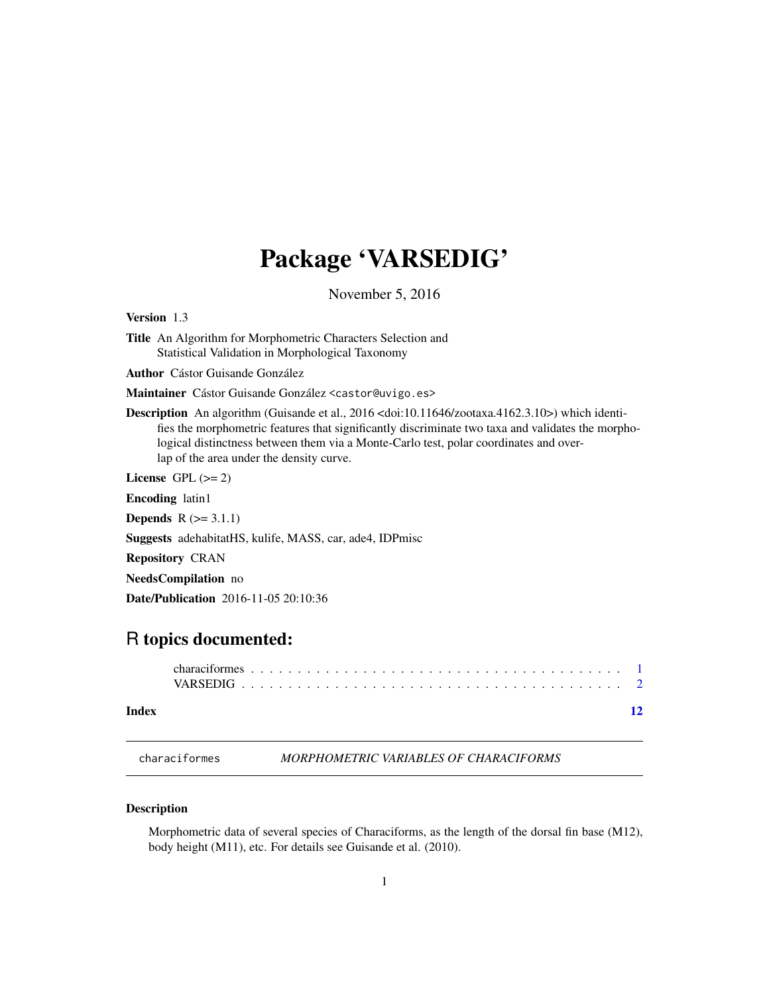## <span id="page-0-0"></span>Package 'VARSEDIG'

November 5, 2016

<span id="page-0-1"></span>Version 1.3

Title An Algorithm for Morphometric Characters Selection and Statistical Validation in Morphological Taxonomy

Author Cástor Guisande González

Maintainer Cástor Guisande González <castor@uvigo.es>

Description An algorithm (Guisande et al., 2016 <doi:10.11646/zootaxa.4162.3.10>) which identifies the morphometric features that significantly discriminate two taxa and validates the morphological distinctness between them via a Monte-Carlo test, polar coordinates and overlap of the area under the density curve.

License GPL  $(>= 2)$ 

Encoding latin1

**Depends**  $R (= 3.1.1)$ 

Suggests adehabitatHS, kulife, MASS, car, ade4, IDPmisc

Repository CRAN

NeedsCompilation no

Date/Publication 2016-11-05 20:10:36

### R topics documented:

#### **Index** [12](#page-11-0)

characiformes *MORPHOMETRIC VARIABLES OF CHARACIFORMS*

#### Description

Morphometric data of several species of Characiforms, as the length of the dorsal fin base (M12), body height (M11), etc. For details see Guisande et al. (2010).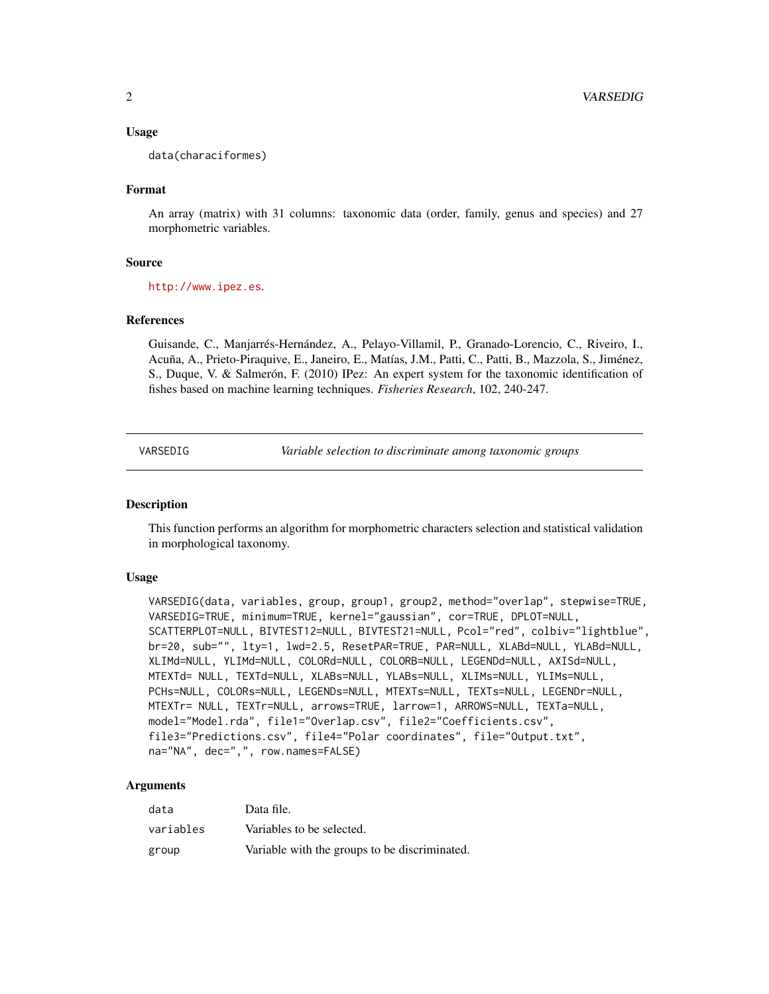#### <span id="page-1-0"></span>Usage

data(characiformes)

#### Format

An array (matrix) with 31 columns: taxonomic data (order, family, genus and species) and 27 morphometric variables.

#### Source

<http://www.ipez.es>.

#### References

Guisande, C., Manjarrés-Hernández, A., Pelayo-Villamil, P., Granado-Lorencio, C., Riveiro, I., Acuña, A., Prieto-Piraquive, E., Janeiro, E., Matías, J.M., Patti, C., Patti, B., Mazzola, S., Jiménez, S., Duque, V. & Salmerón, F. (2010) IPez: An expert system for the taxonomic identification of fishes based on machine learning techniques. *Fisheries Research*, 102, 240-247.

VARSEDIG *Variable selection to discriminate among taxonomic groups*

#### Description

This function performs an algorithm for morphometric characters selection and statistical validation in morphological taxonomy.

#### Usage

```
VARSEDIG(data, variables, group, group1, group2, method="overlap", stepwise=TRUE,
VARSEDIG=TRUE, minimum=TRUE, kernel="gaussian", cor=TRUE, DPLOT=NULL,
SCATTERPLOT=NULL, BIVTEST12=NULL, BIVTEST21=NULL, Pcol="red", colbiv="lightblue",
br=20, sub="", lty=1, lwd=2.5, ResetPAR=TRUE, PAR=NULL, XLABd=NULL, YLABd=NULL,
XLIMd=NULL, YLIMd=NULL, COLORd=NULL, COLORB=NULL, LEGENDd=NULL, AXISd=NULL,
MTEXTd= NULL, TEXTd=NULL, XLABs=NULL, YLABs=NULL, XLIMs=NULL, YLIMs=NULL,
PCHs=NULL, COLORs=NULL, LEGENDs=NULL, MTEXTs=NULL, TEXTs=NULL, LEGENDr=NULL,
MTEXTr= NULL, TEXTr=NULL, arrows=TRUE, larrow=1, ARROWS=NULL, TEXTa=NULL,
model="Model.rda", file1="Overlap.csv", file2="Coefficients.csv",
file3="Predictions.csv", file4="Polar coordinates", file="Output.txt",
na="NA", dec=",", row.names=FALSE)
```
#### Arguments

| data      | Data file.                                    |
|-----------|-----------------------------------------------|
| variables | Variables to be selected.                     |
| group     | Variable with the groups to be discriminated. |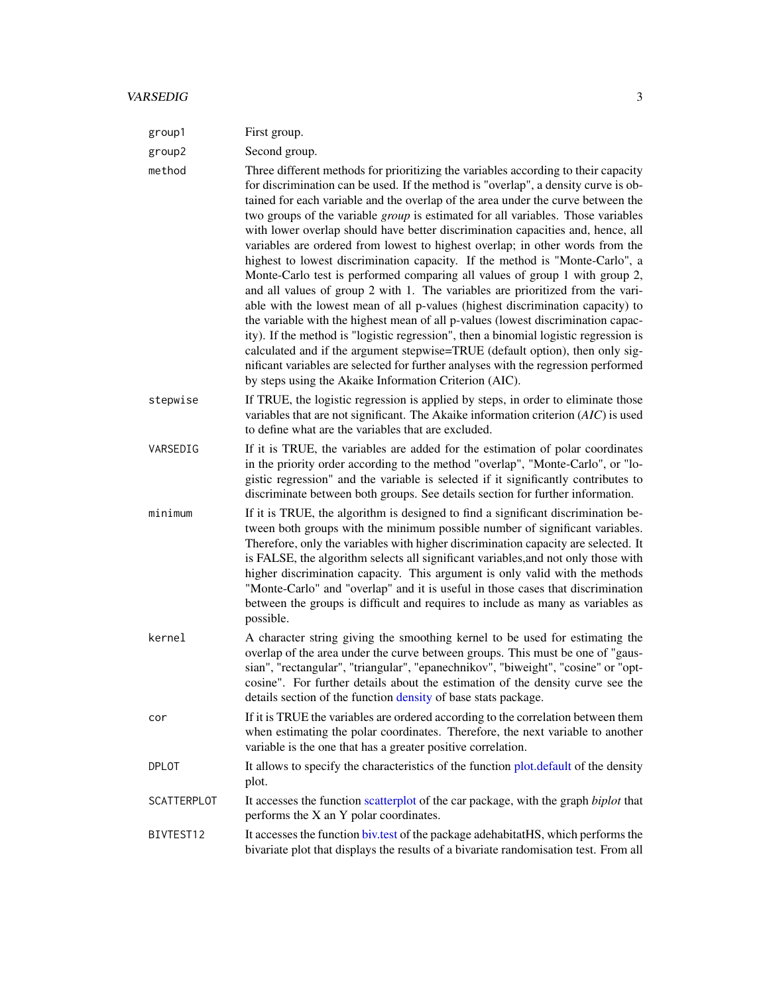<span id="page-2-0"></span>

| group1             | First group.                                                                                                                                                                                                                                                                                                                                                                                                                                                                                                                                                                                                                                                                                                                                                                                                                                                                                                                                                                                                                                                                                                                                                                                                                                                                |
|--------------------|-----------------------------------------------------------------------------------------------------------------------------------------------------------------------------------------------------------------------------------------------------------------------------------------------------------------------------------------------------------------------------------------------------------------------------------------------------------------------------------------------------------------------------------------------------------------------------------------------------------------------------------------------------------------------------------------------------------------------------------------------------------------------------------------------------------------------------------------------------------------------------------------------------------------------------------------------------------------------------------------------------------------------------------------------------------------------------------------------------------------------------------------------------------------------------------------------------------------------------------------------------------------------------|
| group2             | Second group.                                                                                                                                                                                                                                                                                                                                                                                                                                                                                                                                                                                                                                                                                                                                                                                                                                                                                                                                                                                                                                                                                                                                                                                                                                                               |
| method             | Three different methods for prioritizing the variables according to their capacity<br>for discrimination can be used. If the method is "overlap", a density curve is ob-<br>tained for each variable and the overlap of the area under the curve between the<br>two groups of the variable <i>group</i> is estimated for all variables. Those variables<br>with lower overlap should have better discrimination capacities and, hence, all<br>variables are ordered from lowest to highest overlap; in other words from the<br>highest to lowest discrimination capacity. If the method is "Monte-Carlo", a<br>Monte-Carlo test is performed comparing all values of group 1 with group 2,<br>and all values of group 2 with 1. The variables are prioritized from the vari-<br>able with the lowest mean of all p-values (highest discrimination capacity) to<br>the variable with the highest mean of all p-values (lowest discrimination capac-<br>ity). If the method is "logistic regression", then a binomial logistic regression is<br>calculated and if the argument stepwise=TRUE (default option), then only sig-<br>nificant variables are selected for further analyses with the regression performed<br>by steps using the Akaike Information Criterion (AIC). |
| stepwise           | If TRUE, the logistic regression is applied by steps, in order to eliminate those<br>variables that are not significant. The Akaike information criterion (AIC) is used<br>to define what are the variables that are excluded.                                                                                                                                                                                                                                                                                                                                                                                                                                                                                                                                                                                                                                                                                                                                                                                                                                                                                                                                                                                                                                              |
| VARSEDIG           | If it is TRUE, the variables are added for the estimation of polar coordinates<br>in the priority order according to the method "overlap", "Monte-Carlo", or "lo-<br>gistic regression" and the variable is selected if it significantly contributes to<br>discriminate between both groups. See details section for further information.                                                                                                                                                                                                                                                                                                                                                                                                                                                                                                                                                                                                                                                                                                                                                                                                                                                                                                                                   |
| minimum            | If it is TRUE, the algorithm is designed to find a significant discrimination be-<br>tween both groups with the minimum possible number of significant variables.<br>Therefore, only the variables with higher discrimination capacity are selected. It<br>is FALSE, the algorithm selects all significant variables, and not only those with<br>higher discrimination capacity. This argument is only valid with the methods<br>"Monte-Carlo" and "overlap" and it is useful in those cases that discrimination<br>between the groups is difficult and requires to include as many as variables as<br>possible.                                                                                                                                                                                                                                                                                                                                                                                                                                                                                                                                                                                                                                                            |
| kernel             | A character string giving the smoothing kernel to be used for estimating the<br>overlap of the area under the curve between groups. This must be one of "gaus-<br>sian", "rectangular", "triangular", "epanechnikov", "biweight", "cosine" or "opt-<br>cosine". For further details about the estimation of the density curve see the<br>details section of the function density of base stats package.                                                                                                                                                                                                                                                                                                                                                                                                                                                                                                                                                                                                                                                                                                                                                                                                                                                                     |
| cor                | If it is TRUE the variables are ordered according to the correlation between them<br>when estimating the polar coordinates. Therefore, the next variable to another<br>variable is the one that has a greater positive correlation.                                                                                                                                                                                                                                                                                                                                                                                                                                                                                                                                                                                                                                                                                                                                                                                                                                                                                                                                                                                                                                         |
| <b>DPLOT</b>       | It allows to specify the characteristics of the function plot.default of the density<br>plot.                                                                                                                                                                                                                                                                                                                                                                                                                                                                                                                                                                                                                                                                                                                                                                                                                                                                                                                                                                                                                                                                                                                                                                               |
| <b>SCATTERPLOT</b> | It accesses the function scatterplot of the car package, with the graph biplot that<br>performs the X an Y polar coordinates.                                                                                                                                                                                                                                                                                                                                                                                                                                                                                                                                                                                                                                                                                                                                                                                                                                                                                                                                                                                                                                                                                                                                               |
| BIVTEST12          | It accesses the function biv.test of the package adehabitatHS, which performs the<br>bivariate plot that displays the results of a bivariate randomisation test. From all                                                                                                                                                                                                                                                                                                                                                                                                                                                                                                                                                                                                                                                                                                                                                                                                                                                                                                                                                                                                                                                                                                   |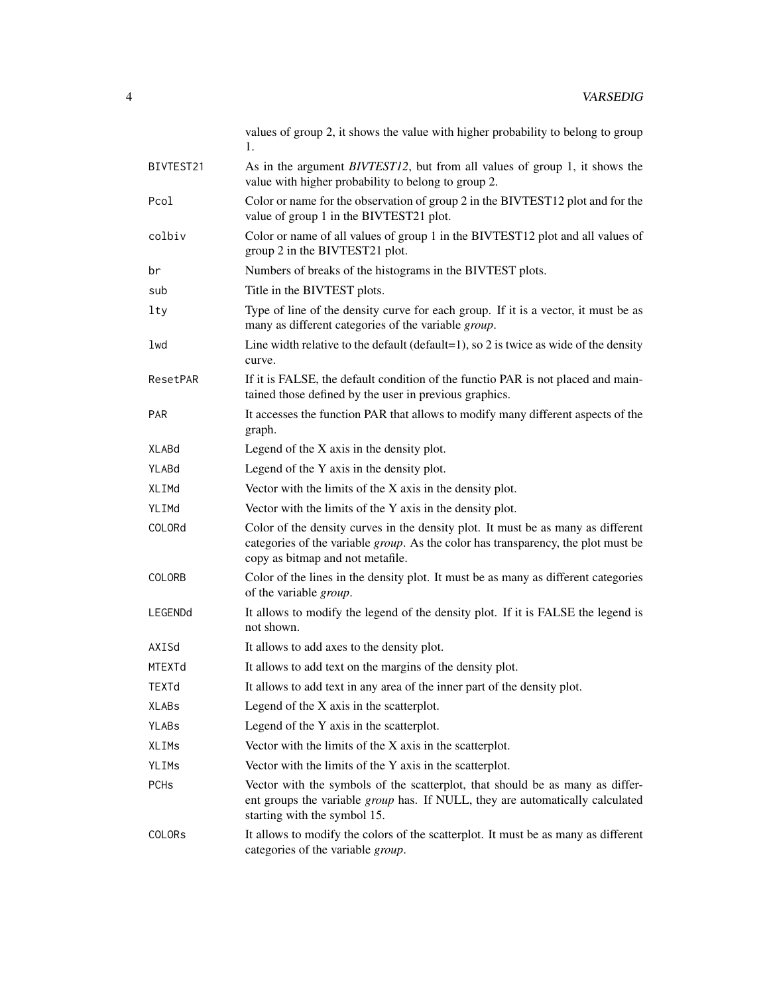values of group 2, it shows the value with higher probability to belong to group 1.

BIVTEST21 As in the argument *BIVTEST12*, but from all values of group 1, it shows the value with higher probability to belong to group 2. Pcol Color or name for the observation of group 2 in the BIVTEST12 plot and for the value of group 1 in the BIVTEST21 plot. colbiv Color or name of all values of group 1 in the BIVTEST12 plot and all values of group 2 in the BIVTEST21 plot. br Numbers of breaks of the histograms in the BIVTEST plots. sub Title in the BIVTEST plots. lty Type of line of the density curve for each group. If it is a vector, it must be as many as different categories of the variable *group*. lwd Line width relative to the default (default=1), so 2 is twice as wide of the density curve. ResetPAR If it is FALSE, the default condition of the functio PAR is not placed and maintained those defined by the user in previous graphics. PAR It accesses the function PAR that allows to modify many different aspects of the graph.  $X$ LABd Legend of the  $X$  axis in the density plot. YLABd Legend of the Y axis in the density plot. XLIME Vector with the limits of the X axis in the density plot. YLIMd Vector with the limits of the Y axis in the density plot. COLORd Color of the density curves in the density plot. It must be as many as different categories of the variable *group*. As the color has transparency, the plot must be copy as bitmap and not metafile. COLORB Color of the lines in the density plot. It must be as many as different categories of the variable *group*. LEGENDd It allows to modify the legend of the density plot. If it is FALSE the legend is not shown. AXISd It allows to add axes to the density plot. MTEXTd It allows to add text on the margins of the density plot. TEXTd It allows to add text in any area of the inner part of the density plot. XLABs Legend of the X axis in the scatterplot. YLABs Legend of the Y axis in the scatterplot. XLIMs Vector with the limits of the X axis in the scatterplot. YLIMs Vector with the limits of the Y axis in the scatterplot. PCHs Vector with the symbols of the scatterplot, that should be as many as different groups the variable *group* has. If NULL, they are automatically calculated starting with the symbol 15. COLORs It allows to modify the colors of the scatterplot. It must be as many as different categories of the variable *group*.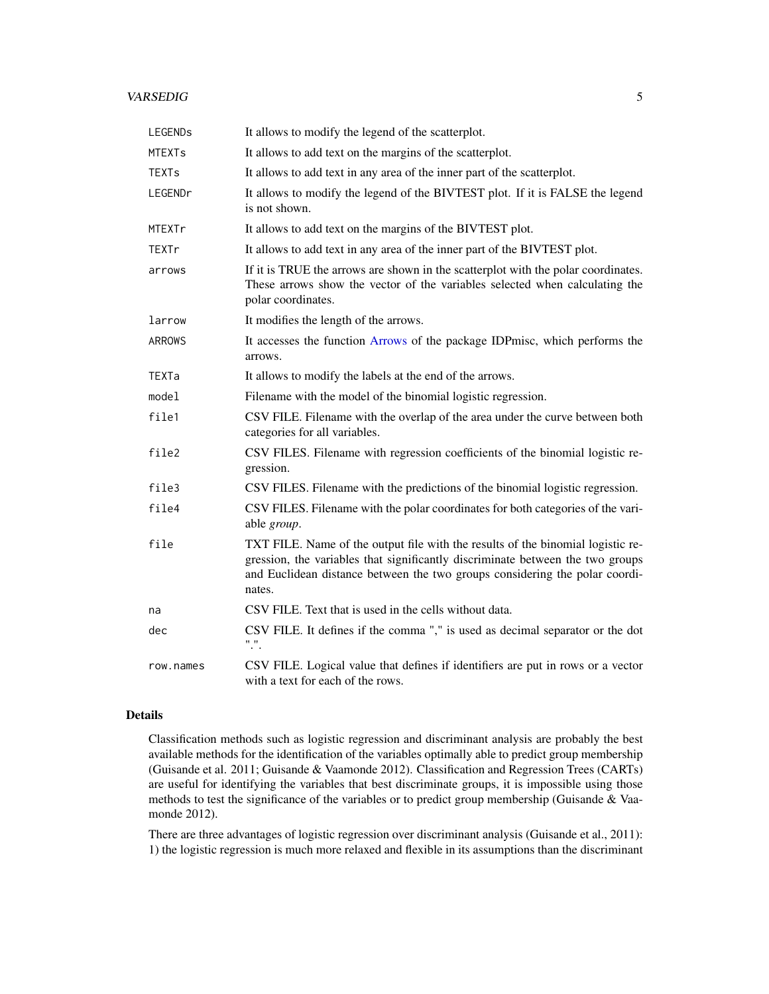#### <span id="page-4-0"></span>VARSEDIG 5

| <b>LEGENDS</b> | It allows to modify the legend of the scatterplot.                                                                                                                                                                                                         |
|----------------|------------------------------------------------------------------------------------------------------------------------------------------------------------------------------------------------------------------------------------------------------------|
| <b>MTEXTs</b>  | It allows to add text on the margins of the scatterplot.                                                                                                                                                                                                   |
| TEXTs          | It allows to add text in any area of the inner part of the scatterplot.                                                                                                                                                                                    |
| LEGENDr        | It allows to modify the legend of the BIVTEST plot. If it is FALSE the legend<br>is not shown.                                                                                                                                                             |
| <b>MTEXTr</b>  | It allows to add text on the margins of the BIVTEST plot.                                                                                                                                                                                                  |
| TEXTr          | It allows to add text in any area of the inner part of the BIVTEST plot.                                                                                                                                                                                   |
| arrows         | If it is TRUE the arrows are shown in the scatterplot with the polar coordinates.<br>These arrows show the vector of the variables selected when calculating the<br>polar coordinates.                                                                     |
| larrow         | It modifies the length of the arrows.                                                                                                                                                                                                                      |
| <b>ARROWS</b>  | It accesses the function Arrows of the package IDP misc, which performs the<br>arrows.                                                                                                                                                                     |
| TEXTa          | It allows to modify the labels at the end of the arrows.                                                                                                                                                                                                   |
| model          | Filename with the model of the binomial logistic regression.                                                                                                                                                                                               |
| file1          | CSV FILE. Filename with the overlap of the area under the curve between both<br>categories for all variables.                                                                                                                                              |
| file2          | CSV FILES. Filename with regression coefficients of the binomial logistic re-<br>gression.                                                                                                                                                                 |
| file3          | CSV FILES. Filename with the predictions of the binomial logistic regression.                                                                                                                                                                              |
| file4          | CSV FILES. Filename with the polar coordinates for both categories of the vari-<br>able group.                                                                                                                                                             |
| file           | TXT FILE. Name of the output file with the results of the binomial logistic re-<br>gression, the variables that significantly discriminate between the two groups<br>and Euclidean distance between the two groups considering the polar coordi-<br>nates. |
| na             | CSV FILE. Text that is used in the cells without data.                                                                                                                                                                                                     |
| dec            | CSV FILE. It defines if the comma "," is used as decimal separator or the dot<br>".".                                                                                                                                                                      |
| row.names      | CSV FILE. Logical value that defines if identifiers are put in rows or a vector<br>with a text for each of the rows.                                                                                                                                       |

#### Details

Classification methods such as logistic regression and discriminant analysis are probably the best available methods for the identification of the variables optimally able to predict group membership (Guisande et al. 2011; Guisande & Vaamonde 2012). Classification and Regression Trees (CARTs) are useful for identifying the variables that best discriminate groups, it is impossible using those methods to test the significance of the variables or to predict group membership (Guisande & Vaamonde 2012).

There are three advantages of logistic regression over discriminant analysis (Guisande et al., 2011): 1) the logistic regression is much more relaxed and flexible in its assumptions than the discriminant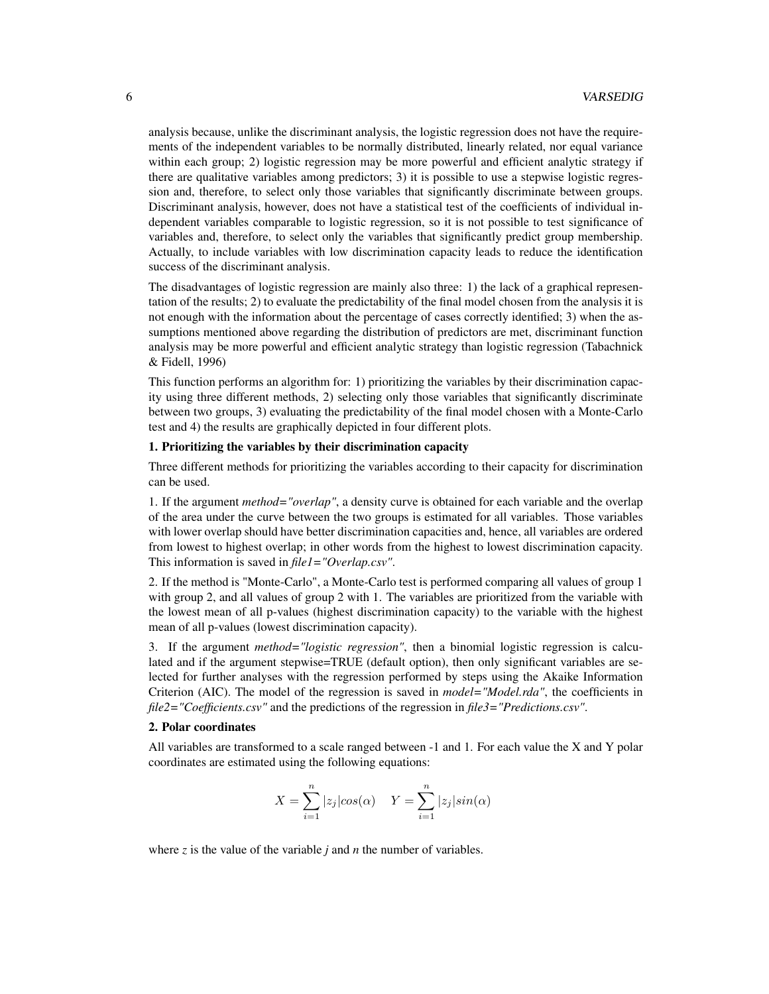analysis because, unlike the discriminant analysis, the logistic regression does not have the requirements of the independent variables to be normally distributed, linearly related, nor equal variance within each group; 2) logistic regression may be more powerful and efficient analytic strategy if there are qualitative variables among predictors; 3) it is possible to use a stepwise logistic regression and, therefore, to select only those variables that significantly discriminate between groups. Discriminant analysis, however, does not have a statistical test of the coefficients of individual independent variables comparable to logistic regression, so it is not possible to test significance of variables and, therefore, to select only the variables that significantly predict group membership. Actually, to include variables with low discrimination capacity leads to reduce the identification success of the discriminant analysis.

The disadvantages of logistic regression are mainly also three: 1) the lack of a graphical representation of the results; 2) to evaluate the predictability of the final model chosen from the analysis it is not enough with the information about the percentage of cases correctly identified; 3) when the assumptions mentioned above regarding the distribution of predictors are met, discriminant function analysis may be more powerful and efficient analytic strategy than logistic regression (Tabachnick & Fidell, 1996)

This function performs an algorithm for: 1) prioritizing the variables by their discrimination capacity using three different methods, 2) selecting only those variables that significantly discriminate between two groups, 3) evaluating the predictability of the final model chosen with a Monte-Carlo test and 4) the results are graphically depicted in four different plots.

#### 1. Prioritizing the variables by their discrimination capacity

Three different methods for prioritizing the variables according to their capacity for discrimination can be used.

1. If the argument *method="overlap"*, a density curve is obtained for each variable and the overlap of the area under the curve between the two groups is estimated for all variables. Those variables with lower overlap should have better discrimination capacities and, hence, all variables are ordered from lowest to highest overlap; in other words from the highest to lowest discrimination capacity. This information is saved in *file1="Overlap.csv"*.

2. If the method is "Monte-Carlo", a Monte-Carlo test is performed comparing all values of group 1 with group 2, and all values of group 2 with 1. The variables are prioritized from the variable with the lowest mean of all p-values (highest discrimination capacity) to the variable with the highest mean of all p-values (lowest discrimination capacity).

3. If the argument *method="logistic regression"*, then a binomial logistic regression is calculated and if the argument stepwise=TRUE (default option), then only significant variables are selected for further analyses with the regression performed by steps using the Akaike Information Criterion (AIC). The model of the regression is saved in *model="Model.rda"*, the coefficients in *file2="Coefficients.csv"* and the predictions of the regression in *file3="Predictions.csv"*.

#### 2. Polar coordinates

All variables are transformed to a scale ranged between -1 and 1. For each value the X and Y polar coordinates are estimated using the following equations:

$$
X = \sum_{i=1}^{n} |z_j| \cos(\alpha) \quad Y = \sum_{i=1}^{n} |z_j| \sin(\alpha)
$$

where *z* is the value of the variable *j* and *n* the number of variables.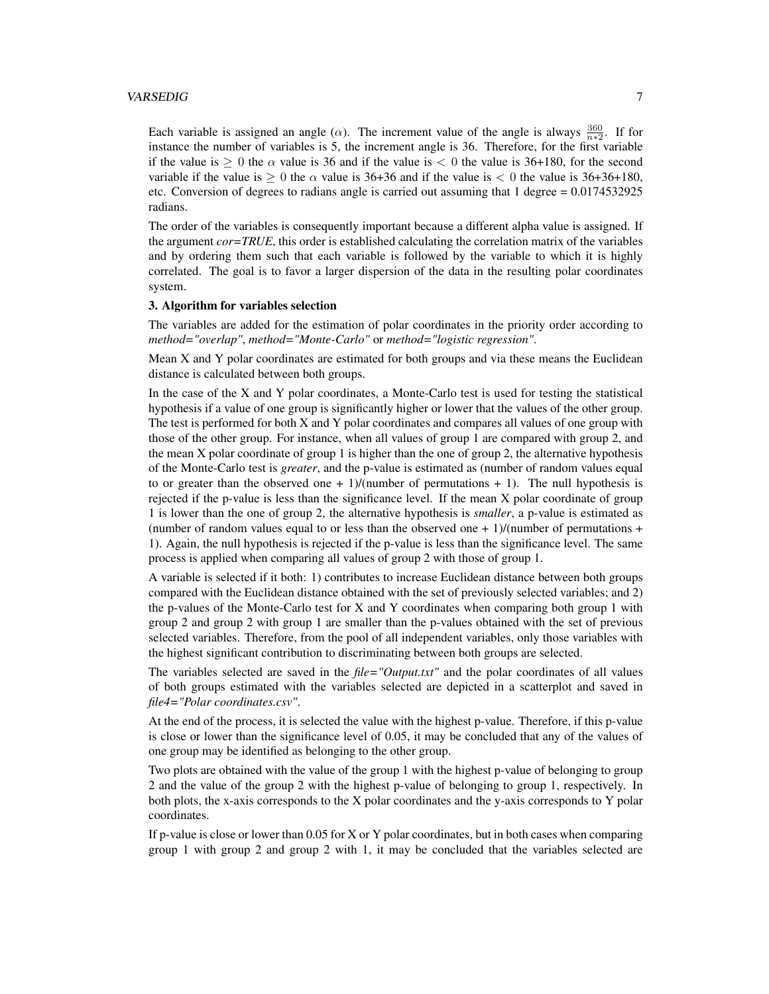#### VARSEDIG 7

Each variable is assigned an angle ( $\alpha$ ). The increment value of the angle is always  $\frac{360}{n*2}$ . If for instance the number of variables is 5, the increment angle is 36. Therefore, for the first variable if the value is  $> 0$  the  $\alpha$  value is 36 and if the value is  $< 0$  the value is 36+180, for the second variable if the value is  $\geq 0$  the  $\alpha$  value is 36+36 and if the value is  $\lt 0$  the value is 36+36+180, etc. Conversion of degrees to radians angle is carried out assuming that 1 degree = 0.0174532925 radians.

The order of the variables is consequently important because a different alpha value is assigned. If the argument *cor=TRUE*, this order is established calculating the correlation matrix of the variables and by ordering them such that each variable is followed by the variable to which it is highly correlated. The goal is to favor a larger dispersion of the data in the resulting polar coordinates system.

#### 3. Algorithm for variables selection

The variables are added for the estimation of polar coordinates in the priority order according to *method="overlap"*, *method="Monte-Carlo"* or *method="logistic regression"*.

Mean X and Y polar coordinates are estimated for both groups and via these means the Euclidean distance is calculated between both groups.

In the case of the X and Y polar coordinates, a Monte-Carlo test is used for testing the statistical hypothesis if a value of one group is significantly higher or lower that the values of the other group. The test is performed for both X and Y polar coordinates and compares all values of one group with those of the other group. For instance, when all values of group 1 are compared with group 2, and the mean  $X$  polar coordinate of group 1 is higher than the one of group 2, the alternative hypothesis of the Monte-Carlo test is *greater*, and the p-value is estimated as (number of random values equal to or greater than the observed one  $+1$ //(number of permutations  $+1$ ). The null hypothesis is rejected if the p-value is less than the significance level. If the mean X polar coordinate of group 1 is lower than the one of group 2, the alternative hypothesis is *smaller*, a p-value is estimated as (number of random values equal to or less than the observed one  $+1$ )/(number of permutations  $+$ 1). Again, the null hypothesis is rejected if the p-value is less than the significance level. The same process is applied when comparing all values of group 2 with those of group 1.

A variable is selected if it both: 1) contributes to increase Euclidean distance between both groups compared with the Euclidean distance obtained with the set of previously selected variables; and 2) the p-values of the Monte-Carlo test for X and Y coordinates when comparing both group 1 with group 2 and group 2 with group 1 are smaller than the p-values obtained with the set of previous selected variables. Therefore, from the pool of all independent variables, only those variables with the highest significant contribution to discriminating between both groups are selected.

The variables selected are saved in the *file="Output.txt"* and the polar coordinates of all values of both groups estimated with the variables selected are depicted in a scatterplot and saved in *file4="Polar coordinates.csv"*.

At the end of the process, it is selected the value with the highest p-value. Therefore, if this p-value is close or lower than the significance level of 0.05, it may be concluded that any of the values of one group may be identified as belonging to the other group.

Two plots are obtained with the value of the group 1 with the highest p-value of belonging to group 2 and the value of the group 2 with the highest p-value of belonging to group 1, respectively. In both plots, the x-axis corresponds to the X polar coordinates and the y-axis corresponds to Y polar coordinates.

If p-value is close or lower than  $0.05$  for X or Y polar coordinates, but in both cases when comparing group 1 with group 2 and group 2 with 1, it may be concluded that the variables selected are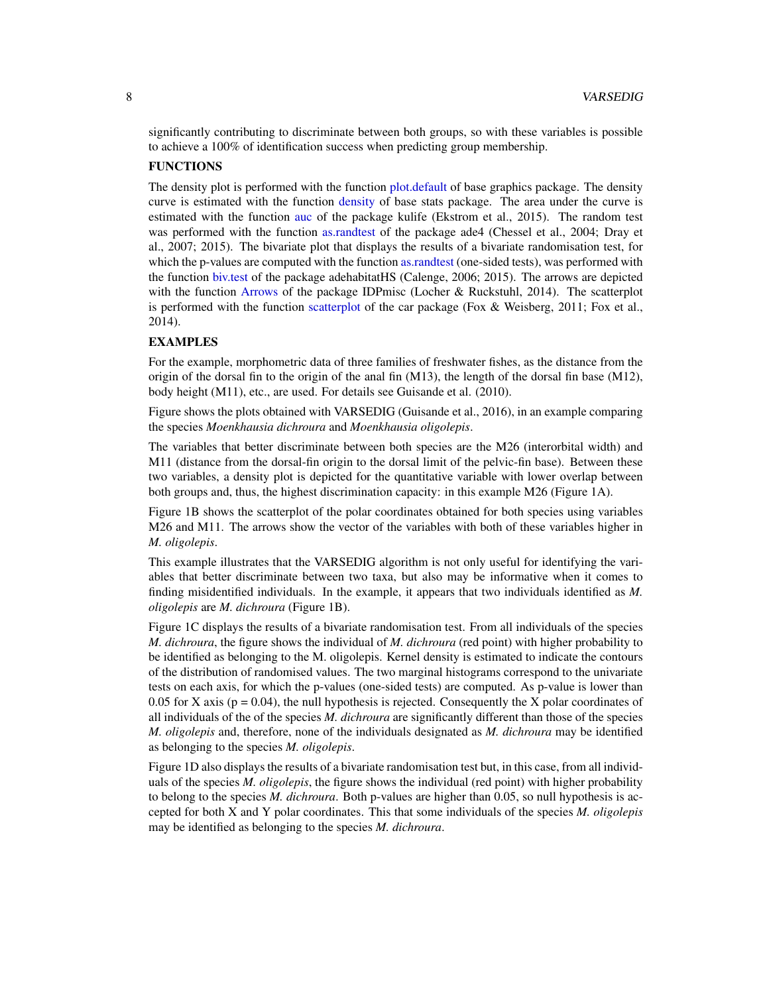<span id="page-7-0"></span>significantly contributing to discriminate between both groups, so with these variables is possible to achieve a 100% of identification success when predicting group membership.

#### FUNCTIONS

The density plot is performed with the function [plot.default](#page-0-1) of base graphics package. The density curve is estimated with the function [density](#page-0-1) of base stats package. The area under the curve is estimated with the function [auc](#page-0-1) of the package kulife (Ekstrom et al., 2015). The random test was performed with the function [as.randtest](#page-0-1) of the package ade4 (Chessel et al., 2004; Dray et al., 2007; 2015). The bivariate plot that displays the results of a bivariate randomisation test, for which the p-values are computed with the function [as.randtest](#page-0-1) (one-sided tests), was performed with the function [biv.test](#page-0-1) of the package adehabitatHS (Calenge, 2006; 2015). The arrows are depicted with the function [Arrows](#page-0-1) of the package IDPmisc (Locher & Ruckstuhl, 2014). The scatterplot is performed with the function [scatterplot](#page-0-1) of the car package (Fox & Weisberg, 2011; Fox et al., 2014).

#### EXAMPLES

For the example, morphometric data of three families of freshwater fishes, as the distance from the origin of the dorsal fin to the origin of the anal fin  $(M13)$ , the length of the dorsal fin base  $(M12)$ , body height (M11), etc., are used. For details see Guisande et al. (2010).

Figure shows the plots obtained with VARSEDIG (Guisande et al., 2016), in an example comparing the species *Moenkhausia dichroura* and *Moenkhausia oligolepis*.

The variables that better discriminate between both species are the M26 (interorbital width) and M11 (distance from the dorsal-fin origin to the dorsal limit of the pelvic-fin base). Between these two variables, a density plot is depicted for the quantitative variable with lower overlap between both groups and, thus, the highest discrimination capacity: in this example M26 (Figure 1A).

Figure 1B shows the scatterplot of the polar coordinates obtained for both species using variables M26 and M11. The arrows show the vector of the variables with both of these variables higher in *M. oligolepis*.

This example illustrates that the VARSEDIG algorithm is not only useful for identifying the variables that better discriminate between two taxa, but also may be informative when it comes to finding misidentified individuals. In the example, it appears that two individuals identified as *M. oligolepis* are *M. dichroura* (Figure 1B).

Figure 1C displays the results of a bivariate randomisation test. From all individuals of the species *M. dichroura*, the figure shows the individual of *M. dichroura* (red point) with higher probability to be identified as belonging to the M. oligolepis. Kernel density is estimated to indicate the contours of the distribution of randomised values. The two marginal histograms correspond to the univariate tests on each axis, for which the p-values (one-sided tests) are computed. As p-value is lower than 0.05 for X axis ( $p = 0.04$ ), the null hypothesis is rejected. Consequently the X polar coordinates of all individuals of the of the species *M. dichroura* are significantly different than those of the species *M. oligolepis* and, therefore, none of the individuals designated as *M. dichroura* may be identified as belonging to the species *M. oligolepis*.

Figure 1D also displays the results of a bivariate randomisation test but, in this case, from all individuals of the species *M. oligolepis*, the figure shows the individual (red point) with higher probability to belong to the species *M. dichroura*. Both p-values are higher than 0.05, so null hypothesis is accepted for both X and Y polar coordinates. This that some individuals of the species *M. oligolepis* may be identified as belonging to the species *M. dichroura*.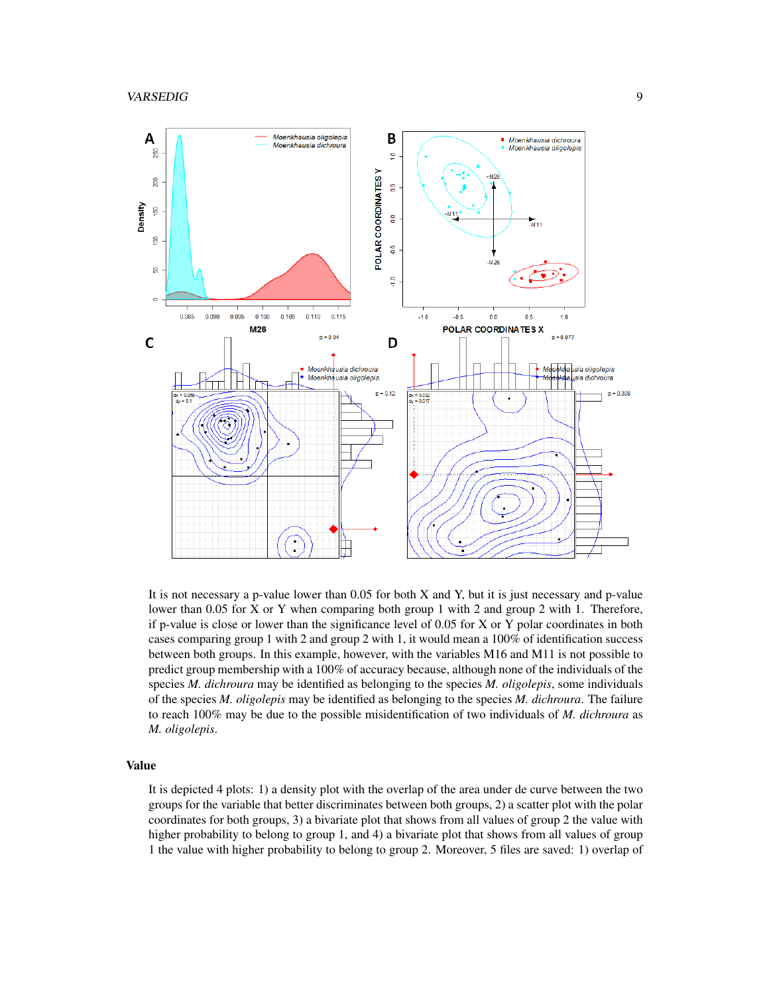

It is not necessary a p-value lower than 0.05 for both X and Y, but it is just necessary and p-value lower than 0.05 for X or Y when comparing both group 1 with 2 and group 2 with 1. Therefore, if p-value is close or lower than the significance level of 0.05 for X or Y polar coordinates in both cases comparing group 1 with 2 and group 2 with 1, it would mean a 100% of identification success between both groups. In this example, however, with the variables M16 and M11 is not possible to predict group membership with a 100% of accuracy because, although none of the individuals of the species *M. dichroura* may be identified as belonging to the species *M. oligolepis*, some individuals of the species *M. oligolepis* may be identified as belonging to the species *M. dichroura*. The failure to reach 100% may be due to the possible misidentification of two individuals of *M. dichroura* as *M. oligolepis*.

#### Value

It is depicted 4 plots: 1) a density plot with the overlap of the area under de curve between the two groups for the variable that better discriminates between both groups, 2) a scatter plot with the polar coordinates for both groups, 3) a bivariate plot that shows from all values of group 2 the value with higher probability to belong to group 1, and 4) a bivariate plot that shows from all values of group 1 the value with higher probability to belong to group 2. Moreover, 5 files are saved: 1) overlap of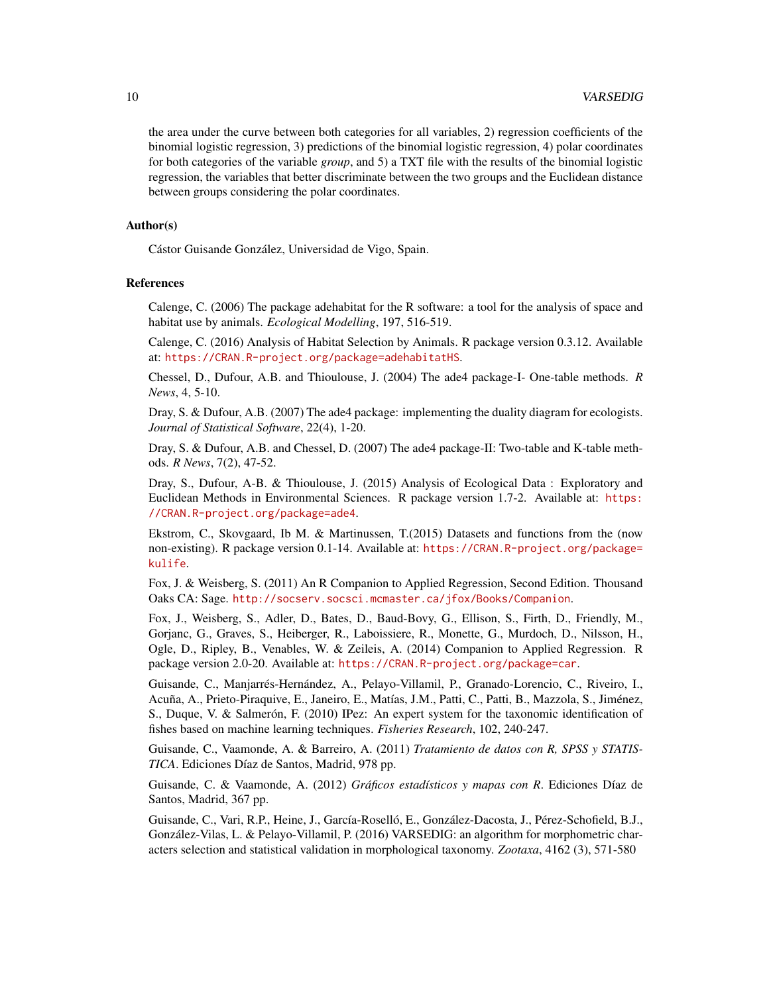the area under the curve between both categories for all variables, 2) regression coefficients of the binomial logistic regression, 3) predictions of the binomial logistic regression, 4) polar coordinates for both categories of the variable *group*, and 5) a TXT file with the results of the binomial logistic regression, the variables that better discriminate between the two groups and the Euclidean distance between groups considering the polar coordinates.

#### Author(s)

Cástor Guisande González, Universidad de Vigo, Spain.

#### References

Calenge, C. (2006) The package adehabitat for the R software: a tool for the analysis of space and habitat use by animals. *Ecological Modelling*, 197, 516-519.

Calenge, C. (2016) Analysis of Habitat Selection by Animals. R package version 0.3.12. Available at: <https://CRAN.R-project.org/package=adehabitatHS>.

Chessel, D., Dufour, A.B. and Thioulouse, J. (2004) The ade4 package-I- One-table methods. *R News*, 4, 5-10.

Dray, S. & Dufour, A.B. (2007) The ade4 package: implementing the duality diagram for ecologists. *Journal of Statistical Software*, 22(4), 1-20.

Dray, S. & Dufour, A.B. and Chessel, D. (2007) The ade4 package-II: Two-table and K-table methods. *R News*, 7(2), 47-52.

Dray, S., Dufour, A-B. & Thioulouse, J. (2015) Analysis of Ecological Data : Exploratory and Euclidean Methods in Environmental Sciences. R package version 1.7-2. Available at: [https:](https://CRAN.R-project.org/package=ade4) [//CRAN.R-project.org/package=ade4](https://CRAN.R-project.org/package=ade4).

Ekstrom, C., Skovgaard, Ib M. & Martinussen, T.(2015) Datasets and functions from the (now non-existing). R package version 0.1-14. Available at: [https://CRAN.R-project.org/package=](https://CRAN.R-project.org/package=kulife) [kulife](https://CRAN.R-project.org/package=kulife).

Fox, J. & Weisberg, S. (2011) An R Companion to Applied Regression, Second Edition. Thousand Oaks CA: Sage. <http://socserv.socsci.mcmaster.ca/jfox/Books/Companion>.

Fox, J., Weisberg, S., Adler, D., Bates, D., Baud-Bovy, G., Ellison, S., Firth, D., Friendly, M., Gorjanc, G., Graves, S., Heiberger, R., Laboissiere, R., Monette, G., Murdoch, D., Nilsson, H., Ogle, D., Ripley, B., Venables, W. & Zeileis, A. (2014) Companion to Applied Regression. R package version 2.0-20. Available at: <https://CRAN.R-project.org/package=car>.

Guisande, C., Manjarrés-Hernández, A., Pelayo-Villamil, P., Granado-Lorencio, C., Riveiro, I., Acuña, A., Prieto-Piraquive, E., Janeiro, E., Matías, J.M., Patti, C., Patti, B., Mazzola, S., Jiménez, S., Duque, V. & Salmerón, F. (2010) IPez: An expert system for the taxonomic identification of fishes based on machine learning techniques. *Fisheries Research*, 102, 240-247.

Guisande, C., Vaamonde, A. & Barreiro, A. (2011) *Tratamiento de datos con R, SPSS y STATIS-TICA*. Ediciones Díaz de Santos, Madrid, 978 pp.

Guisande, C. & Vaamonde, A. (2012) *Gráficos estadísticos y mapas con R*. Ediciones Díaz de Santos, Madrid, 367 pp.

Guisande, C., Vari, R.P., Heine, J., García-Roselló, E., González-Dacosta, J., Pérez-Schofield, B.J., González-Vilas, L. & Pelayo-Villamil, P. (2016) VARSEDIG: an algorithm for morphometric characters selection and statistical validation in morphological taxonomy. *Zootaxa*, 4162 (3), 571-580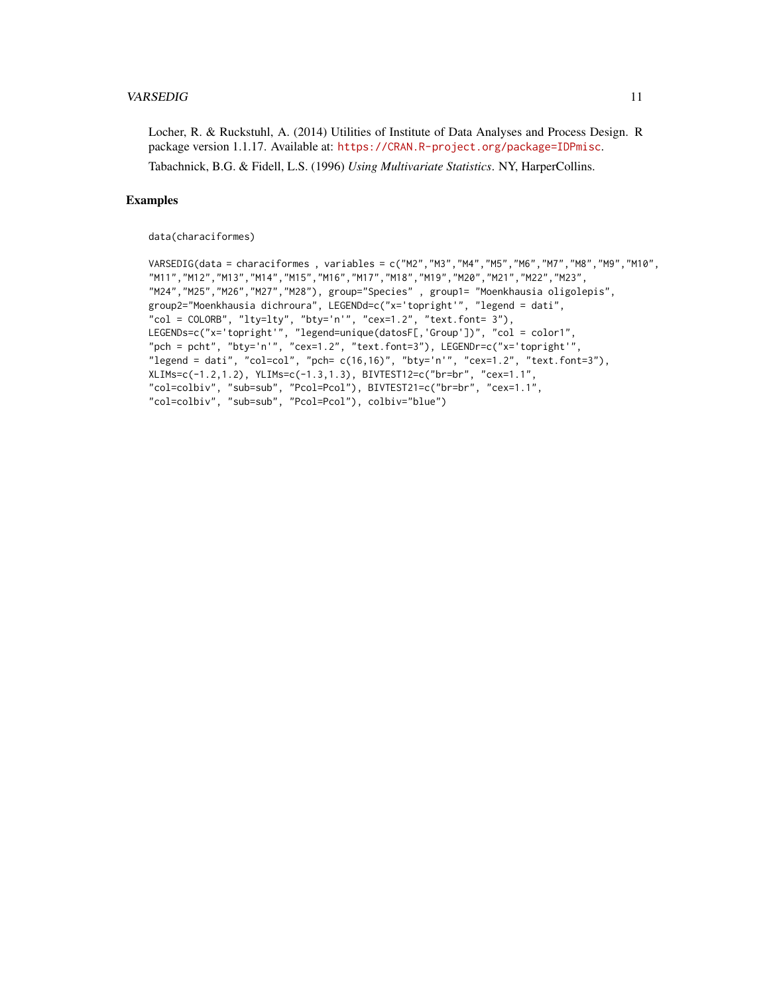#### VARSEDIG 11

Locher, R. & Ruckstuhl, A. (2014) Utilities of Institute of Data Analyses and Process Design. R package version 1.1.17. Available at: <https://CRAN.R-project.org/package=IDPmisc>.

Tabachnick, B.G. & Fidell, L.S. (1996) *Using Multivariate Statistics*. NY, HarperCollins.

#### Examples

data(characiformes)

```
VARSEDIG(data = characiformes , variables = c("M2","M3","M4","M5","M6","M7","M8","M9","M10",
"M11","M12","M13","M14","M15","M16","M17","M18","M19","M20","M21","M22","M23",
"M24","M25","M26","M27","M28"), group="Species" , group1= "Moenkhausia oligolepis",
group2="Moenkhausia dichroura", LEGENDd=c("x='topright'", "legend = dati",
"col = COLORB", "lty=lty", "bty='n'", "cex=1.2", "text.font= 3"),LEGENDs=c("x='topright'", "legend=unique(datosF[,'Group'])", "col = color1",
"pch = pcht", "bty='n'", "cex=1.2", "text.font=3"), LEGENDr=c("x='topright'",
"legend = dati", "col=col", "pch= c(16,16)", "bty='n'", "cex=1.2", "text.font=3"),
XLIMs=c(-1.2,1.2), YLIMs=c(-1.3,1.3), BIVTEST12=c("br=br", "cex=1.1",
"col=colbiv", "sub=sub", "Pcol=Pcol"), BIVTEST21=c("br=br", "cex=1.1",
"col=colbiv", "sub=sub", "Pcol=Pcol"), colbiv="blue")
```